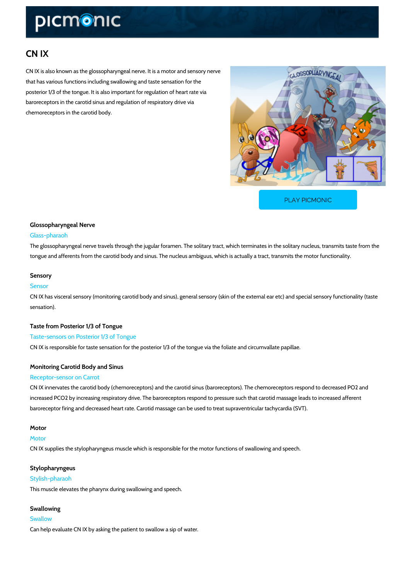# CN IX

CN IX is also known as the glossopharyngeal nerve. It is a motor and sensory nerve that has various functions including swallowing and taste sensation for the posterior 1/3 of the tongue. It is also important for regulation of heart rate via baroreceptors in the carotid sinus and regulation of respiratory drive via chemoreceptors in the carotid body.

[PLAY PICMONIC](https://www.picmonic.com/learn/cn-ix_1307?utm_source=downloadable_content&utm_medium=distributedcontent&utm_campaign=pathways_pdf&utm_content=CN IX&utm_ad_group=leads&utm_market=all)

### Glossopharyngeal Nerve Glass-pharaoh

The glossopharyngeal nerve travels through the jugular foramen. The solitary tract, which term tongue and afferents from the carotid body and sinus. The nucleus ambiguus, which is actuall

#### Sensory

#### Sensor

CN IX has visceral sensory (monitoring carotid body and sinus), general sensory (skin of the sensation).

Taste from Posterior 1/3 of Tongue Taste-sensors on Posterior 1/3 of Tongue CN IX is responsible for taste sensation for the posterior 1/3 of the tongue via the foliate and

## Monitoring Carotid Body and Sinus

#### Receptor-sensor on Carrot

CN IX innervates the carotid body (chemoreceptors) and the carotid sinus (baroreceptors). Th increased PCO2 by increasing respiratory drive. The baroreceptors respond to pressure such t baroreceptor firing and decreased heart rate. Carotid massage can be used to treat supravent

# Motor

Motor CN IX supplies the stylopharyngeus muscle which is responsible for the motor functions of sw

#### Stylopharyngeus

Stylish-pharaoh This muscle elevates the pharynx during swallowing and speech.

Swallowing **Swallow** Can help evaluate CN IX by asking the patient to swallow a sip of water.